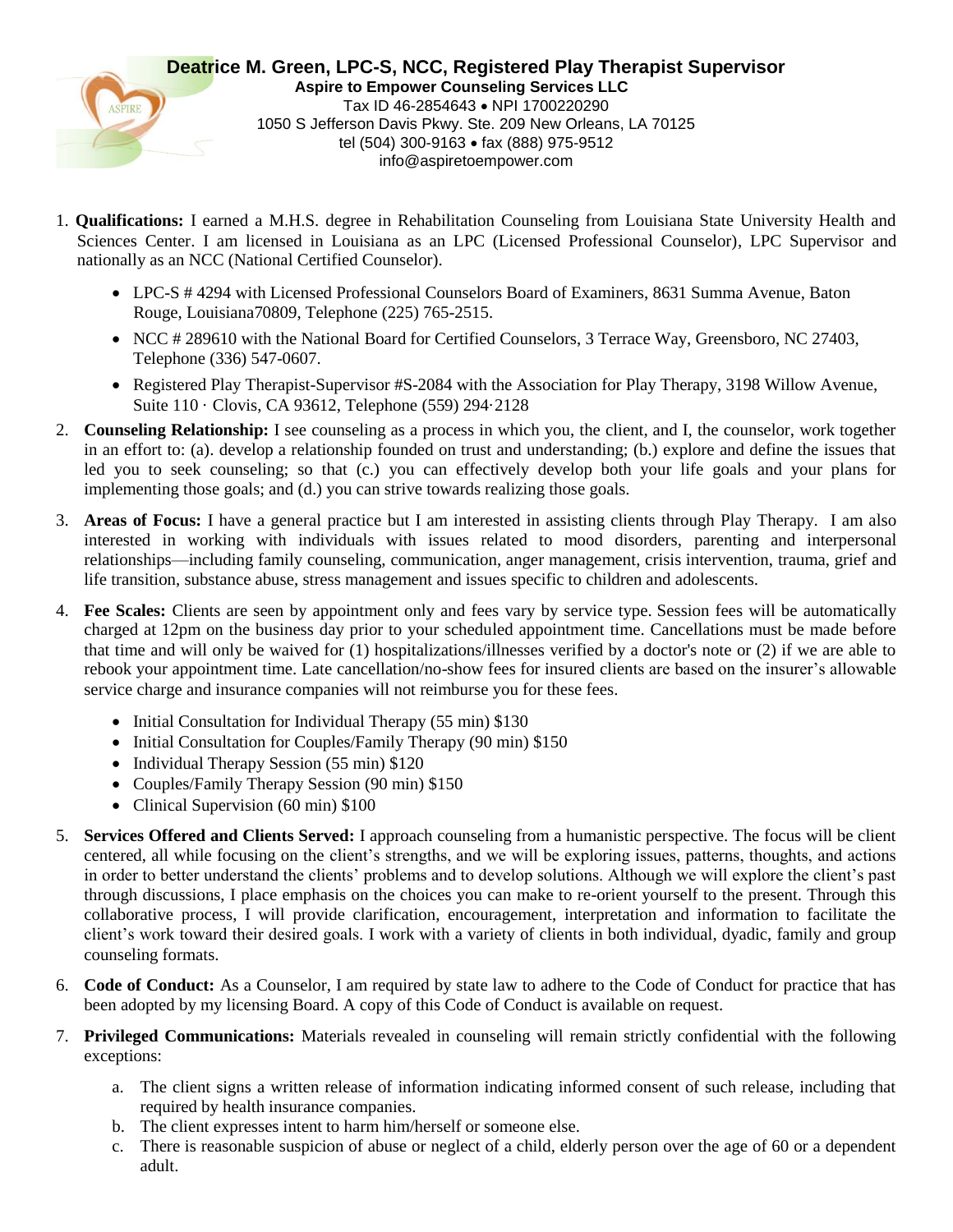

- 1. **Qualifications:** I earned a M.H.S. degree in Rehabilitation Counseling from Louisiana State University Health and Sciences Center. I am licensed in Louisiana as an LPC (Licensed Professional Counselor), LPC Supervisor and nationally as an NCC (National Certified Counselor).
	- LPC-S # 4294 with Licensed Professional Counselors Board of Examiners, 8631 Summa Avenue, Baton Rouge, Louisiana70809, Telephone (225) 765-2515.
	- NCC # 289610 with the National Board for Certified Counselors, 3 Terrace Way, Greensboro, NC 27403, Telephone (336) 547-0607.
	- Registered Play Therapist-Supervisor #S-2084 with the Association for Play Therapy, 3198 Willow Avenue, Suite 110 · Clovis, CA 93612, Telephone (559) 294·2128
- 2. **Counseling Relationship:** I see counseling as a process in which you, the client, and I, the counselor, work together in an effort to: (a). develop a relationship founded on trust and understanding; (b.) explore and define the issues that led you to seek counseling; so that (c.) you can effectively develop both your life goals and your plans for implementing those goals; and (d.) you can strive towards realizing those goals.
- 3. **Areas of Focus:** I have a general practice but I am interested in assisting clients through Play Therapy. I am also interested in working with individuals with issues related to mood disorders, parenting and interpersonal relationships—including family counseling, communication, anger management, crisis intervention, trauma, grief and life transition, substance abuse, stress management and issues specific to children and adolescents.
- 4. **Fee Scales:** Clients are seen by appointment only and fees vary by service type. Session fees will be automatically charged at 12pm on the business day prior to your scheduled appointment time. Cancellations must be made before that time and will only be waived for (1) hospitalizations/illnesses verified by a doctor's note or (2) if we are able to rebook your appointment time. Late cancellation/no-show fees for insured clients are based on the insurer's allowable service charge and insurance companies will not reimburse you for these fees.
	- Initial Consultation for Individual Therapy (55 min) \$130
	- Initial Consultation for Couples/Family Therapy (90 min) \$150
	- Individual Therapy Session (55 min) \$120
	- Couples/Family Therapy Session (90 min) \$150
	- Clinical Supervision (60 min) \$100
- 5. **Services Offered and Clients Served:** I approach counseling from a humanistic perspective. The focus will be client centered, all while focusing on the client's strengths, and we will be exploring issues, patterns, thoughts, and actions in order to better understand the clients' problems and to develop solutions. Although we will explore the client's past through discussions, I place emphasis on the choices you can make to re-orient yourself to the present. Through this collaborative process, I will provide clarification, encouragement, interpretation and information to facilitate the client's work toward their desired goals. I work with a variety of clients in both individual, dyadic, family and group counseling formats.
- 6. **Code of Conduct:** As a Counselor, I am required by state law to adhere to the Code of Conduct for practice that has been adopted by my licensing Board. A copy of this Code of Conduct is available on request.
- 7. **Privileged Communications:** Materials revealed in counseling will remain strictly confidential with the following exceptions:
	- a. The client signs a written release of information indicating informed consent of such release, including that required by health insurance companies.
	- b. The client expresses intent to harm him/herself or someone else.
	- c. There is reasonable suspicion of abuse or neglect of a child, elderly person over the age of 60 or a dependent adult.